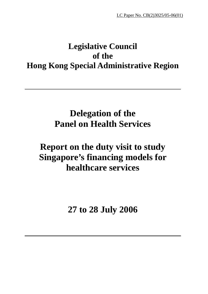# **Legislative Council of the Hong Kong Special Administrative Region**

# **Delegation of the Panel on Health Services**

# **Report on the duty visit to study Singapore's financing models for healthcare services**

**27 to 28 July 2006**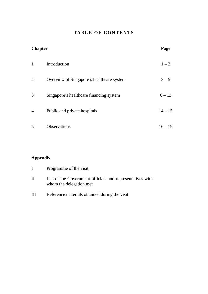# **TABLE OF CONTENTS**

| <b>Chapter</b> |                                           | Page      |
|----------------|-------------------------------------------|-----------|
| $\mathbf{1}$   | Introduction                              | $1 - 2$   |
| 2              | Overview of Singapore's healthcare system | $3 - 5$   |
| 3              | Singapore's healthcare financing system   | $6 - 13$  |
| $\overline{4}$ | Public and private hospitals              | $14 - 15$ |
| 5              | Observations                              | $16 - 19$ |

# **Appendix**

| $\mathbf{L}$ | Programme of the visit                                                               |
|--------------|--------------------------------------------------------------------------------------|
| H            | List of the Government officials and representatives with<br>whom the delegation met |
| Ш            | Reference materials obtained during the visit                                        |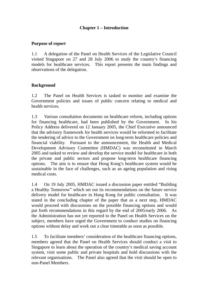# **Chapter 1 – Introduction**

## **Purpose of report**

1.1 A delegation of the Panel on Health Services of the Legislative Council visited Singapore on 27 and 28 July 2006 to study the country's financing models for healthcare services. This report presents the main findings and observations of the delegation.

## **Background**

1.2 The Panel on Health Services is tasked to monitor and examine the Government policies and issues of public concern relating to medical and health services.

1.3 Various consultation documents on healthcare reform, including options for financing healthcare, had been published by the Government. In his Policy Address delivered on 12 January 2005, the Chief Executive announced that the advisory framework for health services would be reformed to facilitate the tendering of advice to the Government on long-term healthcare policies and financial viability. Pursuant to the announcement, the Health and Medical Development Advisory Committee (HMDAC) was reconstituted in March 2005 and tasked to review and develop the service model for healthcare in both the private and public sectors and propose long-term healthcare financing options. The aim is to ensure that Hong Kong's healthcare system would be sustainable in the face of challenges, such as an ageing population and rising medical costs.

1.4 On 19 July 2005, HMDAC issued a discussion paper entitled "Building a Healthy Tomorrow" which set out its recommendations on the future service delivery model for healthcare in Hong Kong for public consultation. It was stated in the concluding chapter of the paper that as a next step, HMDAC would proceed with discussions on the possible financing options and would put forth recommendations in this regard by the end of 2005/early 2006. As the Administration has not yet reported to the Panel on Health Services on the subject, members have urged the Government to conduct studies on financing options without delay and work out a clear timetable as soon as possible.

1.5 To facilitate members' consideration of the healthcare financing options, members agreed that the Panel on Health Services should conduct a visit to Singapore to learn about the operation of the country's medical saving account system, visit some public and private hospitals and hold discussions with the relevant organisations. The Panel also agreed that the visit should be open to non-Panel Members.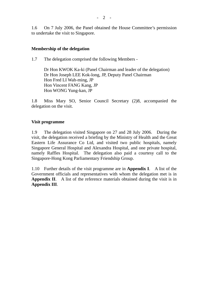1.6 On 7 July 2006, the Panel obtained the House Committee's permission to undertake the visit to Singapore.

## **Membership of the delegation**

1.7 The delegation comprised the following Members -

Dr Hon KWOK Ka-ki (Panel Chairman and leader of the delegation) Dr Hon Joseph LEE Kok-long, JP, Deputy Panel Chairman Hon Fred LI Wah-ming, JP Hon Vincent FANG Kang, JP Hon WONG Yung-kan, JP

1.8 Miss Mary SO, Senior Council Secretary (2)8, accompanied the delegation on the visit.

### **Visit programme**

1.9 The delegation visited Singapore on 27 and 28 July 2006. During the visit, the delegation received a briefing by the Ministry of Health and the Great Eastern Life Assurance Co Ltd, and visited two public hospitals, namely Singapore General Hospital and Alexandra Hospital, and one private hospital, namely Raffles Hospital. The delegation also paid a courtesy call to the Singapore-Hong Kong Parliamentary Friendship Group.

1.10 Further details of the visit programme are in **Appendix I**. A list of the Government officials and representatives with whom the delegation met is in **Appendix II**. A list of the reference materials obtained during the visit is in **Appendix III**.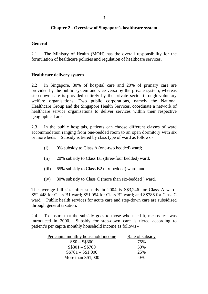#### - 3 -

## **Chapter 2 - Overview of Singapore's healthcare system**

## **General**

2.1 The Ministry of Health (MOH) has the overall responsibility for the formulation of healthcare policies and regulation of healthcare services.

## **Healthcare delivery system**

2.2 In Singapore, 80% of hospital care and 20% of primary care are provided by the public system and vice versa by the private system, whereas step-down care is provided entirely by the private sector through voluntary welfare organisations. Two public corporations, namely the National Healthcare Group and the Singapore Health Services, coordinate a network of healthcare service organisations to deliver services within their respective geographical areas.

2.3 In the public hospitals, patients can choose different classes of ward accommodation ranging from one-bedded room to an open dormitory with six or more beds. Subsidy is tiered by class type of ward as follows -

- (i) 0% subsidy to Class A (one-two bedded) ward;
- (ii) 20% subsidy to Class B1 (three-four bedded) ward;
- (iii) 65% subsidy to Class B2 (six-bedded) ward; and
- (iv) 80% subsidy to Class C (more than six-bedded ) ward.

The average bill size after subsidy in 2004 is S\$3,246 for Class A ward; S\$2,448 for Class B1 ward; S\$1,054 for Class B2 ward; and S\$786 for Class C ward. Public health services for acute care and step-down care are subsidised through general taxation.

2.4 To ensure that the subsidy goes to those who need it, means test was introduced in 2000. Subsidy for step-down care is tiered according to patient's per capita monthly household income as follows -

| Per capita monthly household income | Rate of subsidy |
|-------------------------------------|-----------------|
| $S\$ 0 - S\300                      | 75%             |
| $S$301 - S$700$                     | 50%             |
| $S$701 - S$1,000$                   | 25%             |
| More than S\$1,000                  | $0\%$           |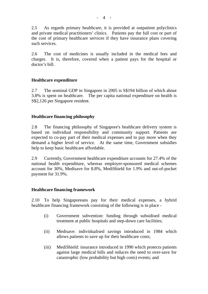2.5 As regards primary healthcare, it is provided at outpatient polyclinics and private medical practitioners' clinics. Patients pay the full cost or part of the cost of primary healthcare services if they have insurance plans covering such services.

2.6 The cost of medicines is usually included in the medical fees and charges. It is, therefore, covered when a patient pays for the hospital or doctor's bill.

## **Healthcare expenditure**

2.7 The nominal GDP in Singapore in 2005 is S\$194 billion of which about 3.8% is spent on healthcare. The per capita national expenditure on health is S\$2,126 per Singapore resident.

## **Healthcare financing philosophy**

2.8 The financing philosophy of Singapore's healthcare delivery system is based on individual responsibility and community support. Patients are expected to co-pay part of their medical expenses and to pay more when they demand a higher level of service. At the same time, Government subsidies help to keep basic healthcare affordable.

2.9 Currently, Government healthcare expenditure accounts for 27.4% of the national health expenditure, whereas employer-sponsored medical schemes account for 30%, Medisave for 8.8%, MediShield for 1.9% and out-of-pocket payment for 31.9%.

## **Healthcare financing framework**

2.10 To help Singaporeans pay for their medical expenses, a hybrid healthcare financing framework consisting of the following is in place -

- (i) Government subvention: funding through subsidised medical treatment at public hospitals and step-down care facilities;
- (ii) Medisave: individualised savings introduced in 1984 which allows patients to save up for their healthcare costs;
- (iii) MediShield: insurance introduced in 1990 which protects patients against large medical bills and reduces the need to over-save for catastrophic (low probability but high costs) events; and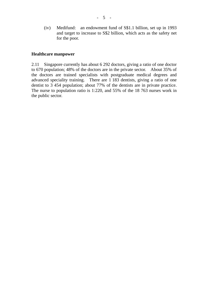(iv) Medifund: an endowment fund of S\$1.1 billion, set up in 1993 and target to increase to S\$2 billion, which acts as the safety net for the poor.

### **Healthcare manpower**

2.11 Singapore currently has about 6 292 doctors, giving a ratio of one doctor to 670 population; 48% of the doctors are in the private sector. About 35% of the doctors are trained specialists with postgraduate medical degrees and advanced speciality training. There are 1 183 dentists, giving a ratio of one dentist to 3 454 population; about 77% of the dentists are in private practice. The nurse to population ratio is 1:220, and 55% of the 18 763 nurses work in the public sector.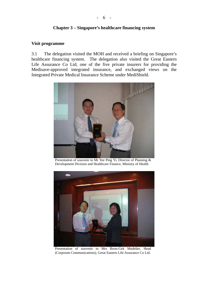## **Chapter 3 – Singapore's healthcare financing system**

#### **Visit programme**

3.1 The delegation visited the MOH and received a briefing on Singapore's healthcare financing system. The delegation also visited the Great Eastern Life Assurance Co Ltd, one of the five private insurers for providing the Medisave-approved integrated insurance, and exchanged views on the Integrated Private Medical Insurance Scheme under MediShield.



Presentation of souvenir to Mr Yee Ping Yi, Director of Planning & Development Division and Healthcare Finance, Ministry of Health



Presentation of souvenir to Mrs Boon-Gek Mudelier, Head (Corporate Communications), Great Eastern Life Assurance Co Ltd.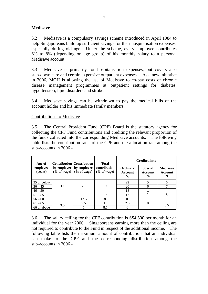## **Medisave**

3.2 Medisave is a compulsory savings scheme introduced in April 1984 to help Singaporeans build up sufficient savings for their hospitalisation expenses, especially during old age. Under the scheme, every employee contributes 6% to 8% (depending on age group) of his monthly salary to a personal Medisave account.

3.3 Medisave is primarily for hospitalisation expenses, but covers also step-down care and certain expensive outpatient expenses. As a new initiative in 2006, MOH is allowing the use of Medisave to co-pay costs of chronic disease management programmes at outpatient settings for diabetes, hypertension, lipid disorders and stroke.

3.4 Medisave savings can be withdrawn to pay the medical bills of the account holder and his immediate family members.

Contributions to Medisave

3.5 The Central Provident Fund (CPF) Board is the statutory agency for collecting the CPF Fund contributions and crediting the relevant proportion of the funds collected into the corresponding Medisave accounts. The following table lists the contribution rates of the CPF and the allocation rate among the sub-accounts in 2006 -

| Age of              |     | Contribution Contribution<br>by employer   by employee<br>$(\%$ of wage) $(\%$ of wage) | <b>Total</b>                   | <b>Credited into</b>                        |                                                   |                                             |
|---------------------|-----|-----------------------------------------------------------------------------------------|--------------------------------|---------------------------------------------|---------------------------------------------------|---------------------------------------------|
| employee<br>(years) |     |                                                                                         | contribution<br>$(\%$ of wage) | Ordinary<br><b>Account</b><br>$\frac{0}{0}$ | <b>Special</b><br><b>Account</b><br>$\frac{0}{0}$ | <b>Medisave</b><br>Account<br>$\frac{6}{9}$ |
| 35 or below         | 13  | 20                                                                                      | 33                             | 22                                          | 5                                                 | 6                                           |
| $36 - 45$           |     |                                                                                         |                                | 20                                          | 6                                                 |                                             |
| $46 - 50$           |     |                                                                                         |                                | 18                                          |                                                   |                                             |
| $51 - 55$           | 9   | 18                                                                                      | 27                             | 12                                          |                                                   | 8                                           |
| $56 - 60$           | 6   | 12.5                                                                                    | 18.5                           | 10.5                                        |                                                   |                                             |
| $61 - 65$           |     | 7.5                                                                                     | 11                             | 2.5                                         | $\Omega$                                          |                                             |
| 66 or above         | 3.5 | 5                                                                                       | 8.5                            |                                             |                                                   | 8.5                                         |

3.6 The salary ceiling for the CPF contribution is S\$4,500 per month for an individual for the year 2006. Singaporeans earning more than the ceiling are not required to contribute to the Fund in respect of the additional income. The following table lists the maximum amount of contribution that an individual can make to the CPF and the corresponding distribution among the sub-accounts in 2006 -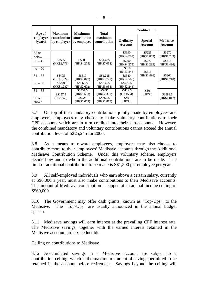| Age of              | <b>Maximum</b><br>contribution<br>by employer | <b>Maximum</b><br>contribution<br>by employee | <b>Total</b>            | <b>Credited into</b>    |                                  |                            |
|---------------------|-----------------------------------------------|-----------------------------------------------|-------------------------|-------------------------|----------------------------------|----------------------------|
| employee<br>(years) |                                               |                                               | maximum<br>contribution | Ordinary<br>Account     | <b>Special</b><br><b>Account</b> | <b>Medisave</b><br>Account |
| 35 or<br>below      |                                               |                                               |                         | S\$990<br>(HK\$4,702)   | S\$225<br>(HK\$1,069)            | S\$270<br>(HK\$1,283)      |
| $36 - 45$           | S\$585<br>(HK\$2,779)                         | S\$900<br>(HK\$4,275)                         | S\$1,485<br>(HK\$7,054) | S\$900<br>(HK\$4,275)   | S\$270<br>(HK\$1,283)            | S\$315<br>(HK\$1,496)      |
| $46 - 50$           |                                               |                                               |                         | S\$810<br>(HK\$3,848)   | S\$315                           |                            |
| $51 - 55$           | S\$405<br>(HK\$1,924)                         | S\$810<br>(HK\$3,847)                         | S\$1,215<br>(HK\$5,771) | S\$540<br>(HK\$2,565)   | (HK\$1,496)                      | S\$360<br>(HK\$1,710)      |
| $56 - 60$           | S\$270<br>(HK\$1,282)                         | S\$562.5<br>(HK\$2,672)                       | S\$832.5<br>(HK\$3,954) | S\$472.5<br>(HK\$2,244) |                                  |                            |
| $61 - 65$           | S\$157.5                                      | S\$337.5<br>(HK\$1,603)                       | S\$495<br>(HK\$2,351)   | S\$112.5<br>(HK\$534)   | <b>S\$0</b><br>(HK\$0)           | S\$382.5                   |
| 66 or<br>above      | (HK\$748)                                     | S\$225<br>(HK\$1,069)                         | S\$382.5<br>(HK\$1,817) | <b>SSO</b><br>(HK\$0)   |                                  | (HK\$1,817)                |

3.7 On top of the mandatory contributions jointly made by employees and employers, employees may choose to make voluntary contributions to their CPF accounts which are in turn credited into their sub-accounts. However, the combined mandatory and voluntary contributions cannot exceed the annual contribution level of S\$25,245 for 2006.

3.8 As a means to reward employees, employers may also choose to contribute more to their employees' Medisave accounts through the Additional Medisave Contribution Scheme. Under this voluntary scheme, employers decide how and to whom the additional contributions are to be made. The limit of additional contribution to be made is S\$1,500 per employee per year.

3.9 All self-employed individuals who earn above a certain salary, currently at S\$6,000 a year, must also make contributions to their Medisave accounts. The amount of Medisave contribution is capped at an annual income ceiling of S\$60,000.

3.10 The Government may offer cash grants, known as "Top-Ups", to the Medisave. The "Top-Ups" are usually announced in the annual budget speech.

3.11 Medisave savings will earn interest at the prevailing CPF interest rate. The Medisave savings, together with the earned interest retained in the Medisave account, are tax-deductible.

# Ceiling on contributions to Medisave

3.12 Accumulated savings in a Medisave account are subject to a contribution ceiling, which is the maximum amount of savings permitted to be retained in the account before retirement. Savings beyond the ceiling will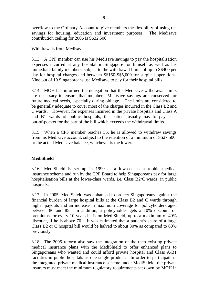overflow to the Ordinary Account to give members the flexibility of using the savings for housing, education and investment purposes. The Medisave contribution ceiling for 2006 is S\$32,500.

## Withdrawals from Medisave

3.13 A CPF member can use his Medisave savings to pay the hospitalisation expenses incurred at any hospital in Singapore for himself as well as his immediate family members, subject to the withdrawal limits of up to S\$400 per day for hospital charges and between S\$150-S\$5,000 for surgical operations. Nine out of 10 Singaporeans use Medisave to pay for their hospital bills.

3.14 MOH has informed the delegation that the Medisave withdrawal limits are necessary to ensure that members' Medisave savings are conserved for future medical needs, especially during old age. The limits are considered to be generally adequate to cover most of the charges incurred in the Class B2 and C wards. However, for expenses incurred in the private hospitals and Class A and B1 wards of public hospitals, the patient usually has to pay cash out-of-pocket for the part of the bill which exceeds the withdrawal limits.

3.15 When a CPF member reaches 55, he is allowed to withdraw savings from his Medisave account, subject to the retention of a minimum of S\$27,500, or the actual Medisave balance, whichever is the lower.

## **MediShield**

3.16 MediShield is set up in 1990 as a low-cost catastrophic medical insurance scheme and run by the CPF Board to help Singaporeans pay for large hospitalisation bills at the lower-class wards, i.e. Class B2/C wards, in public hospitals.

3.17 In 2005, MediShield was enhanced to protect Singaporeans against the financial burden of large hospital bills at the Class B2 and C wards through higher payouts and an increase in maximum coverage for policyholders aged between 80 and 85. In addition, a policyholder gets a 10% discount on premiums for every 10 years he is on MediShield, up to a maximum of 40% discount, if he is above 70. It was estimated that a patient's share of a large Class B2 or C hospital bill would be halved to about 30% as compared to 60% previously.

3.18 The 2005 reform also saw the integration of the then existing private medical insurance plans with the MediShield to offer enhanced plans to Singaporeans who wanted and could afford private hospital and Class A/B1 facilities in public hospitals as one single product. In order to participate in the integrated private medical insurance scheme under MediShield, the private insurers must meet the minimum regulatory requirements set down by MOH in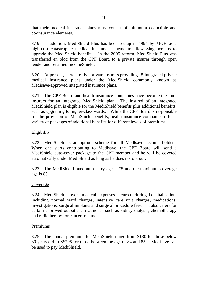that their medical insurance plans must consist of minimum deductible and co-insurance elements.

3.19 In addition, MediShield Plus has been set up in 1994 by MOH as a high-cost catastrophic medical insurance scheme to allow Singaporeans to upgrade the MediShield benefits. In the 2005 reform, MediShield Plus was transferred en bloc from the CPF Board to a private insurer through open tender and renamed IncomeShield.

3.20 At present, there are five private insurers providing 15 integrated private medical insurance plans under the MediShield commonly known as Medisave-approved integrated insurance plans.

3.21 The CPF Board and health insurance companies have become the joint insurers for an integrated MediShield plan. The insured of an integrated MediShield plan is eligible for the MediShield benefits plus additional benefits, such as upgrading to higher-class wards. While the CPF Board is responsible for the provision of MediShield benefits, health insurance companies offer a variety of packages of additional benefits for different levels of premiums.

## Eligibility

3.22 MediShield is an opt-out scheme for all Medisave account holders. When one starts contributing to Medisave, the CPF Board will send a MediShield auto-cover package to the CPF member and he will be covered automatically under MediShield as long as he does not opt out.

3.23 The MediShield maximum entry age is 75 and the maximum coverage age is 85.

## Coverage

3.24 MediShield covers medical expenses incurred during hospitalisation, including normal ward charges, intensive care unit charges, medications, investigations, surgical implants and surgical procedure fees. It also caters for certain approved outpatient treatments, such as kidney dialysis, chemotherapy and radiotherapy for cancer treatment.

## **Premiums**

3.25 The annual premiums for MediShield range from S\$30 for those below 30 years old to S\$705 for those between the age of 84 and 85. Medisave can be used to pay MediShield.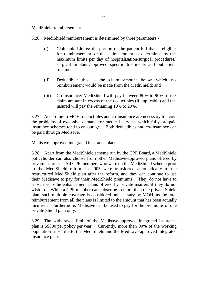## MediShield reimbursement

- 3.26 MediShield reimbursement is determined by three parameters
	- (i) Claimable Limits: the portion of the patient bill that is eligible for reimbursement, or the claim amount, is determined by the maximum limits per day of hospitalisation/surgical procedures/ surgical implants/approved specific treatments and outpatient treatments;
	- (ii) Deductible: this is the claim amount below which no reimbursement would be made from the MediShield; and
	- (iii) Co-insurance: MediShield will pay between 80% to 90% of the claim amount in excess of the deductibles (if applicable) and the insured will pay the remaining 10% to 20%.

3.27 According to MOH, deductibles and co-insurance are necessary to avoid the problems of excessive demand for medical services which fully pre-paid insurance schemes tend to encourage. Both deductibles and co-insurance can be paid through Medisave.

## Medisave-approved integrated insurance plans

3.28 Apart from the MediShield scheme run by the CPF Board, a MediShield policyholder can also choose from other Medisave-approved plans offered by private insurers. All CPF members who were on the MediShield scheme prior to the MediShield reform in 2005 were transferred automatically to the restructured MediShield plan after the reform, and they can continue to use their Medisave to pay for their MediShield premiums. They do not have to subscribe to the enhancement plans offered by private insurers if they do not wish to. While a CPF member can subscribe to more than one private Shield plan, such multiple coverage is considered unnecessary by MOH, as the total reimbursement from all the plans is limited to the amount that has been actually incurred. Furthermore, Medisave can be used to pay for the premiums of one private Shield plan only.

3.29 The withdrawal limit of the Medisave-approved integrated insurance plan is S\$800 per policy per year. Currently, more than 90% of the working population subscribe to the MediShield and the Medisave-approved integrated insurance plans.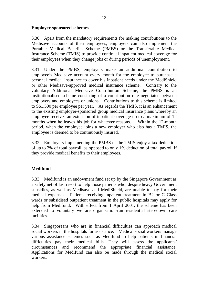## **Employer-sponsored schemes**

3.30 Apart from the mandatory requirements for making contributions to the Medisave accounts of their employees, employers can also implement the Portable Medical Benefits Scheme (PMBS) or the Transferable Medical Insurance Scheme (TMIS) to provide continual inpatient medical coverage for their employees when they change jobs or during periods of unemployment.

3.31 Under the PMBS, employers make an additional contribution to employee's Medisave account every month for the employee to purchase a personal medical insurance to cover his inpatient needs under the MediShield or other Medisave-approved medical insurance scheme. Contrary to the voluntary Additional Medisave Contribution Scheme, the PMBS is an institutionalised scheme consisting of a contribution rate negotiated between employers and employees or unions. Contributions to this scheme is limited to S\$1,500 per employee per year. As regards the TMIS, it is an enhancement to the existing employer-sponsored group medical insurance plans whereby an employee receives an extension of inpatient coverage up to a maximum of 12 months when he leaves his job for whatever reasons. Within the 12-month period, when the employee joins a new employer who also has a TMIS, the employee is deemed to be continuously insured.

3.32 Employers implementing the PMBS or the TMIS enjoy a tax deduction of up to 2% of total payroll, as opposed to only 1% deduction of total payroll if they provide medical benefits to their employees.

# **Medifund**

3.33 Medifund is an endowment fund set up by the Singapore Government as a safety net of last resort to help those patients who, despite heavy Government subsidies, as well as Medisave and MediShield, are unable to pay for their medical expenses. Patients receiving inpatient treatment in B2 or C Class wards or subsidised outpatient treatment in the public hospitals may apply for help from Medifund. With effect from 1 April 2001, the scheme has been extended to voluntary welfare organisation-run residential step-down care facilities.

3.34 Singaporeans who are in financial difficulties can approach medical social workers in the hospitals for assistance. Medical social workers manage various assistance schemes such as Medifund to help patients in financial difficulties pay their medical bills. They will assess the applicants' circumstances and recommend the appropriate financial assistance. Applications for Medifund can also be made through the medical social workers.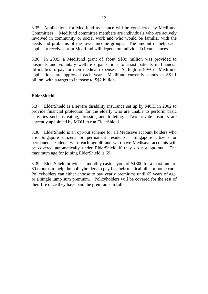3.35 Applications for Medifund assistance will be considered by Medifund Committees. Medifund committee members are individuals who are actively involved in community or social work and who would be familiar with the needs and problems of the lower income groups. The amount of help each applicant receives from Medifund will depend on individual circumstances.

3.36 In 2005, a Medifund grant of about S\$39 million was provided to hospitals and voluntary welfare organisations to assist patients in financial difficulties to pay for their medical expenses. As high as 99% of Medifund applications are approved each year. Medifund currently stands at S\$1.1 billion, with a target to increase to S\$2 billion.

# **ElderShield**

3.37 ElderShield is a severe disability insurance set up by MOH in 2002 to provide financial protection for the elderly who are unable to perform basic activities such as eating, dressing and toileting. Two private insurers are currently appointed by MOH to run ElderShield.

3.38 ElderShield is an opt-out scheme for all Medisave account holders who are Singapore citizens or permanent residents. Singapore citizens or permanent residents who reach age 40 and who have Medisave accounts will be covered automatically under ElderShield if they do not opt out. The maximum age for joining ElderShield is 69.

3.39 ElderShield provides a monthly cash payout of S\$300 for a maximum of 60 months to help the policyholders to pay for their medical bills or home care. Policyholders can either choose to pay yearly premiums until 65 years of age, or a single lump sum premium. Policyholders will be covered for the rest of their life once they have paid the premiums in full.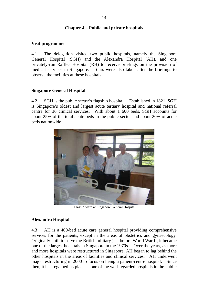## **Chapter 4 – Public and private hospitals**

## **Visit programme**

4.1 The delegation visited two public hospitals, namely the Singapore General Hospital (SGH) and the Alexandra Hospital (AH), and one privately-run Raffles Hospital (RH) to receive briefings on the provision of medical services in Singapore. Tours were also taken after the briefings to observe the facilities at these hospitals.

## **Singapore General Hospital**

4.2 SGH is the public sector's flagship hospital. Established in 1821, SGH is Singapore's oldest and largest acute tertiary hospital and national referral centre for 36 clinical services. With about 1 600 beds, SGH accounts for about 25% of the total acute beds in the public sector and about 20% of acute beds nationwide.



Class A ward at Singapore General Hospital

## **Alexandra Hospital**

4.3 AH is a 400-bed acute care general hospital providing comprehensive services for the patients, except in the areas of obstetrics and gynaecology. Originally built to serve the British military just before World War II, it became one of the largest hospitals in Singapore in the 1970s. Over the years, as more and more hospitals were restructured in Singapore, AH began to lag behind the other hospitals in the areas of facilities and clinical services. AH underwent major restructuring in 2000 to focus on being a patient-centre hospital. Since then, it has regained its place as one of the well-regarded hospitals in the public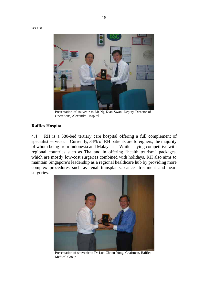sector.



Presentation of souvenir to Mr Ng Kian Swan, Deputy Director of Operations, Alexandra Hospital

# **Raffles Hospital**

4.4 RH is a 380-bed tertiary care hospital offering a full complement of specialist services. Currently, 34% of RH patients are foreigners, the majority of whom being from Indonesia and Malaysia. While staying competitive with regional countries such as Thailand in offering "health tourism" packages, which are mostly low-cost surgeries combined with holidays, RH also aims to maintain Singapore's leadership as a regional healthcare hub by providing more complex procedures such as renal transplants, cancer treatment and heart surgeries.



Presentation of souvenir to Dr Loo Choon Yong, Chairman, Raffles Medical Group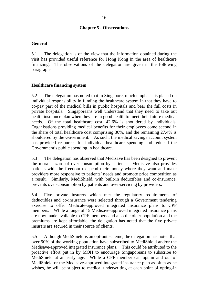## **Chapter 5 - Observations**

## **General**

5.1 The delegation is of the view that the information obtained during the visit has provided useful reference for Hong Kong in the area of healthcare financing. The observations of the delegation are given in the following paragraphs.

## **Healthcare financing system**

5.2 The delegation has noted that in Singapore, much emphasis is placed on individual responsibility in funding the healthcare system in that they have to co-pay part of the medical bills in public hospitals and bear the full costs in private hospitals. Singaporeans well understand that they need to take out health insurance plan when they are in good health to meet their future medical needs. Of the total healthcare cost, 42.6% is shouldered by individuals. Organisations providing medical benefits for their employees come second in the share of total healthcare cost comprising 30%, and the remaining 27.4% is shouldered by the Government. As such, the medical savings account system has provided resources for individual healthcare spending and reduced the Government's public spending in healthcare.

5.3 The delegation has observed that Medisave has been designed to prevent the moral hazard of over-consumption by patients. Medisave also provides patients with the freedom to spend their money where they want and make providers more responsive to patients' needs and promote price competition as a result. Similarly, MediShield, with built-in deductibles and co-insurance, prevents over-consumption by patients and over-servicing by providers.

5.4 Five private insurers which met the regulatory requirements of deductibles and co-insurance were selected through a Government tendering exercise to offer Medicate-approved integrated insurance plans to CPF members. While a range of 15 Medisave-approved integrated insurance plans are now made available to CPF members and also the older population and the premiums are kept affordable, the delegation has noted that the five private insurers are secured in their source of clients.

5.5 Although MediShield is an opt-out scheme, the delegation has noted that over 90% of the working population have subscribed to MediShield and/or the Medisave-approved integrated insurance plans. This could be attributed to the proactive effort put in by MOH to encourage Singaporeans to subscribe to MediShield at an early age. While a CPF member can opt in and out of MediShield or the Medisave-approved integrated insurance plan as often as he wishes, he will be subject to medical underwriting at each point of opting-in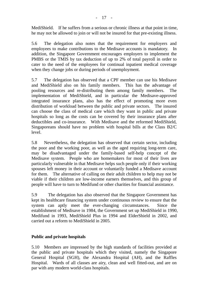MediShield. If he suffers from a serious or chronic illness at that point in time, he may not be allowed to join or will not be insured for that pre-existing illness.

5.6 The delegation also notes that the requirement for employers and employees to make contributions to the Medisave accounts is mandatory. In addition, the Singapore Government encourages employers to implement the PMBS or the TMIS by tax deduction of up to 2% of total payroll in order to cater to the need of the employees for continual inpatient medical coverage when they change jobs or during periods of unemployment.

5.7 The delegation has observed that a CPF member can use his Medisave and MediShield also on his family members. This has the advantage of pooling resources and re-distributing them among family members. The implementation of MediShield, and in particular the Medisave-approved integrated insurance plans, also has the effect of promoting more even distribution of workload between the public and private sectors. The insured can choose the class of medical care which they want in public and private hospitals so long as the costs can be covered by their insurance plans after deductibles and co-insurance. With Medisave and the reformed MediShield, Singaporeans should have no problem with hospital bills at the Class B2/C level.

5.8 Nevertheless, the delegation has observed that certain sector, including the poor and the working poor, as well as the aged requiring long-term care, may be disadvantaged under the family-based self-help concept of the Medisave system. People who are homemakers for most of their lives are particularly vulnerable in that Medisave helps such people only if their working spouses left money in their account or voluntarily funded a Medisave account for them. The alternative of calling on their adult children to help may not be viable if their children are low-income earners themselves, and this group of people will have to turn to Medifund or other charities for financial assistance.

5.9 The delegation has also observed that the Singapore Government has kept its healthcare financing system under continuous review to ensure that the system can aptly meet the ever-changing circumstances. Since the establishment of Medisave in 1984, the Government set up MediShield in 1990, Medifund in 1993, MediShield Plus in 1994 and ElderShield in 2002, and carried out a reform to MediShield in 2005.

# **Public and private hospitals**

5.10 Members are impressed by the high standards of facilities provided at the public and private hospitals which they visited, namely the Singapore General Hospital (SGH), the Alexandra Hospital (AH), and the Raffles Hospital. Wards of all classes are airy, clean and well fitted-out, and are on par with any modern world-class hospitals.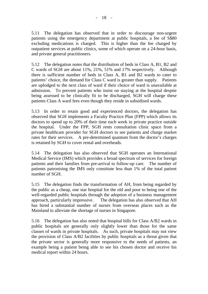5.11 The delegation has observed that in order to discourage non-urgent patients using the emergency department at public hospitals, a fee of S\$80 excluding medications is charged. This is higher than the fee charged by outpatient services at public clinics, some of which operate on a 24-hour basis, and private general practitioners.

5.12 The delegation notes that the distribution of beds in Class A, B1, B2 and C wards of SGH are about 11%, 21%, 51% and 17% respectively. Although there is sufficient number of beds in Class A, B1 and B2 wards to cater to patients' choice, the demand for Class C ward is greater than supply. Patients are uplodged to the next class of ward if their choice of ward is unavailable at admission. To prevent patients who insist on staying at the hospital despite being assessed to be clinically fit to be discharged, SGH will charge these patients Class A ward fees even though they reside in subsidised wards.

5.13 In order to retain good and experienced doctors, the delegation has observed that SGH implements a Faculty Practice Plan (FPP) which allows its doctors to spend up to 20% of their time each week in private practice outside the hospital. Under the FPP, SGH rents consultation clinic space from a private healthcare provider for SGH doctors to see patients and charge market rates for their services. A pre-determined quantum from the doctor's charges is retained by SGH to cover rental and overheads.

5.14 The delegation has also observed that SGH operates an International Medical Service (IMS) which provides a broad spectrum of services for foreign patients and their families from pre-arrival to follow-up care. The number of patients patronising the IMS only constitute less than 1% of the total patient number of SGH.

5.15 The delegation finds the transformation of AH, from being regarded by the public as a cheap, one star hospital for the old and poor to being one of the well-regarded public hospitals through the adoption of a business management approach, particularly impressive. The delegation has also observed that AH has hired a substantial number of nurses from overseas places such as the Mainland to alleviate the shortage of nurses in Singapore.

5.16 The delegation has also noted that hospital bills for Class A/B2 wards in public hospitals are generally only slightly lower than those for the same classes of wards in private hospitals. As such, private hospitals may not view the provision of Class A/B2 facilities by public hospitals as a threat given that the private sector is generally more responsive to the needs of patients, an example being a patient being able to see his chosen doctor and receive his medical report within 24 hours.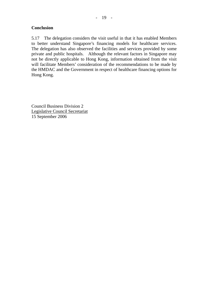# **Conclusion**

5.17 The delegation considers the visit useful in that it has enabled Members to better understand Singapore's financing models for healthcare services. The delegation has also observed the facilities and services provided by some private and public hospitals. Although the relevant factors in Singapore may not be directly applicable to Hong Kong, information obtained from the visit will facilitate Members' consideration of the recommendations to be made by the HMDAC and the Government in respect of healthcare financing options for Hong Kong.

Council Business Division 2 Legislative Council Secretariat 15 September 2006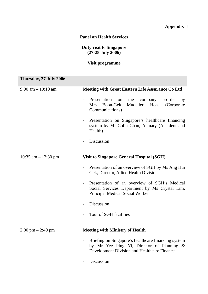# **Appendix I**

## **Panel on Health Services**

# **Duty visit to Singapore (27-28 July 2006)**

# **Visit programme**

| Thursday, 27 July 2006              |                                                                                                                                                 |
|-------------------------------------|-------------------------------------------------------------------------------------------------------------------------------------------------|
| $9:00$ am $-10:10$ am               | <b>Meeting with Great Eastern Life Assurance Co Ltd</b>                                                                                         |
|                                     | Presentation<br>the<br>company<br>profile<br>by<br>on<br>Mudelier, Head<br>Boon-Gek<br>(Corporate)<br><b>Mrs</b><br>Communications)             |
|                                     | Presentation on Singapore's healthcare financing<br>system by Mr Colin Chan, Actuary (Accident and<br>Health)                                   |
|                                     | Discussion                                                                                                                                      |
| 10:35 am $-$ 12:30 pm               | <b>Visit to Singapore General Hospital (SGH)</b>                                                                                                |
|                                     | Presentation of an overview of SGH by Ms Ang Hui<br>Gek, Director, Allied Health Division                                                       |
|                                     | Presentation of an overview of SGH's Medical<br>Social Services Department by Ms Crystal Lim,<br>Principal Medical Social Worker                |
|                                     | Discussion                                                                                                                                      |
|                                     | Tour of SGH facilities                                                                                                                          |
| $2:00 \text{ pm} - 2:40 \text{ pm}$ | <b>Meeting with Ministry of Health</b>                                                                                                          |
|                                     | Briefing on Singapore's healthcare financing system<br>by Mr Yee Ping Yi, Director of Planning &<br>Development Division and Healthcare Finance |
|                                     | Discussion                                                                                                                                      |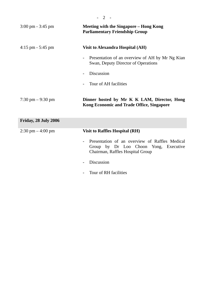| $3:00 \text{ pm} - 3:45 \text{ pm}$ | <b>Meeting with the Singapore – Hong Kong</b><br><b>Parliamentary Friendship Group</b>                                                                  |
|-------------------------------------|---------------------------------------------------------------------------------------------------------------------------------------------------------|
| $4:15$ pm $-5:45$ pm                | <b>Visit to Alexandra Hospital (AH)</b>                                                                                                                 |
|                                     | Presentation of an overview of AH by Mr Ng Kian<br>$\blacksquare$<br>Swan, Deputy Director of Operations                                                |
|                                     | Discussion                                                                                                                                              |
|                                     | Tour of AH facilities                                                                                                                                   |
| $7:30 \text{ pm} - 9:30 \text{ pm}$ | Dinner hosted by Mr K K LAM, Director, Hong<br><b>Kong Economic and Trade Office, Singapore</b>                                                         |
| Friday, 28 July 2006                |                                                                                                                                                         |
| $2:30 \text{ pm} - 4:00 \text{ pm}$ | <b>Visit to Raffles Hospital (RH)</b>                                                                                                                   |
|                                     | Presentation of an overview of Raffles Medical<br>$\overline{\phantom{a}}$<br>Group by Dr Loo Choon Yong, Executive<br>Chairman, Raffles Hospital Group |
|                                     | Discussion                                                                                                                                              |
|                                     | Tour of RH facilities                                                                                                                                   |

- 2 -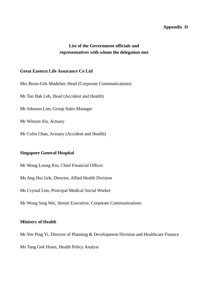## **Appendix II**

# **List of the Government officials and representatives with whom the delegation met**

### **Great Eastern Life Assurance Co Ltd**

Mrs Boon-Gek Mudelier, Head (Corporate Communications)

Mr Tan Hak Leh, Head (Accident and Health)

Mr Johnson Lim, Group Sales Manager

Mr Winson Siu, Actuary

Mr Colin Chan, Actuary (Accident and Health)

## **Singapore General Hospital**

Mr Wong Loong Kin, Chief Financial Officer

Ms Ang Hui Gek, Director, Allied Health Division

Ms Crystal Lim, Principal Medical Social Worker

Mr Wong Sing Wei, Senior Executive, Corporate Communications

### **Ministry of Health**

Mr Yee Ping Yi, Director of Planning & Development Division and Healthcare Finance

Ms Tang Gek Hsien, Health Policy Analyst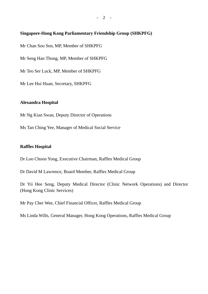## **Singapore-Hong Kong Parliamentary Friendship Group (SHKPFG)**

Mr Chan Soo Sen, MP, Member of SHKPFG

Mr Seng Han Thong, MP, Member of SHKPFG

Mr Teo Ser Luck, MP, Member of SHKPFG

Mr Lee Hui Huan, Secretary, SHKPFG

## **Alexandra Hospital**

Mr Ng Kian Swan, Deputy Director of Operations

Ms Tan Ching Yee, Manager of Medical Social Service

## **Raffles Hospital**

Dr Loo Choon Yong, Executive Chairman, Raffles Medical Group

Dr David M Lawrence, Board Member, Raffles Medical Group

Dr Yii Hee Seng, Deputy Medical Director (Clinic Network Operations) and Director (Hong Kong Clinic Services)

Mr Pay Cher Wee, Chief Financial Officer, Raffles Medical Group

Ms Linda Wills, General Manager, Hong Kong Operations, Raffles Medical Group